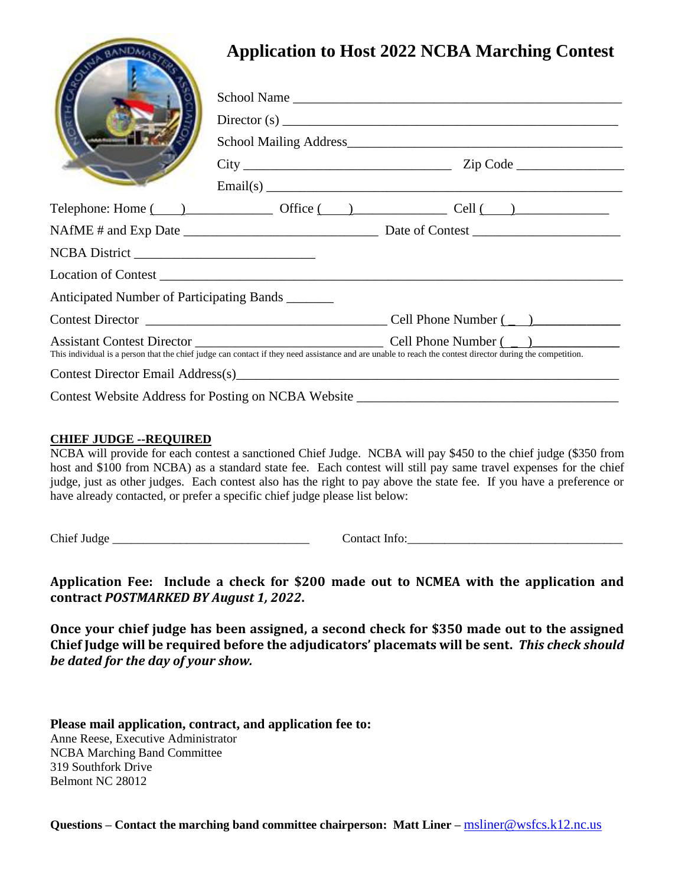|                                                                                                                                                           |  | <b>Application to Host 2022 NCBA Marching Contest</b>                      |
|-----------------------------------------------------------------------------------------------------------------------------------------------------------|--|----------------------------------------------------------------------------|
|                                                                                                                                                           |  |                                                                            |
|                                                                                                                                                           |  | $\text{Directory}(s)$                                                      |
|                                                                                                                                                           |  |                                                                            |
|                                                                                                                                                           |  |                                                                            |
|                                                                                                                                                           |  |                                                                            |
|                                                                                                                                                           |  | Telephone: Home $\qquad)$ Office $\qquad)$ Office $\qquad)$ Cell $\qquad)$ |
|                                                                                                                                                           |  |                                                                            |
|                                                                                                                                                           |  |                                                                            |
|                                                                                                                                                           |  |                                                                            |
| Anticipated Number of Participating Bands _______                                                                                                         |  |                                                                            |
|                                                                                                                                                           |  |                                                                            |
| This individual is a person that the chief judge can contact if they need assistance and are unable to reach the contest director during the competition. |  |                                                                            |
|                                                                                                                                                           |  | Contest Director Email Address(s)                                          |
| Contest Website Address for Posting on NCBA Website                                                                                                       |  |                                                                            |

## **CHIEF JUDGE --REQUIRED**

NCBA will provide for each contest a sanctioned Chief Judge. NCBA will pay \$450 to the chief judge (\$350 from host and \$100 from NCBA) as a standard state fee. Each contest will still pay same travel expenses for the chief judge, just as other judges. Each contest also has the right to pay above the state fee. If you have a preference or have already contacted, or prefer a specific chief judge please list below:

Chief Judge the contact of the contact Info:

**Application Fee: Include a check for \$200 made out to NCMEA with the application and contract** *POSTMARKED BY August 1, 2022***.**

**Once your chief judge has been assigned, a second check for \$350 made out to the assigned Chief Judge will be required before the adjudicators' placemats will be sent.** *This check should be dated for the day of your show.*

**Please mail application, contract, and application fee to:** Anne Reese, Executive Administrator NCBA Marching Band Committee 319 Southfork Drive Belmont NC 28012

**Questions – Contact the marching band committee chairperson: Matt Liner –** [msliner@wsfcs.k12.nc.us](mailto:thsband@mac.com)